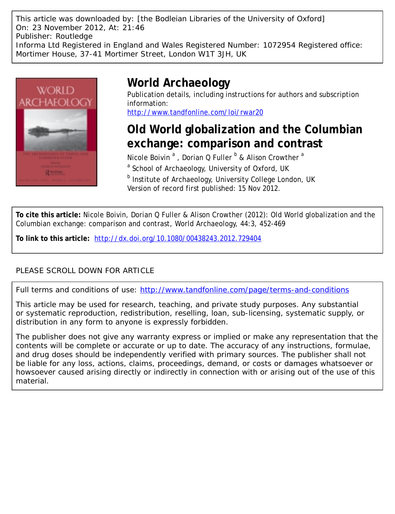This article was downloaded by: [the Bodleian Libraries of the University of Oxford] On: 23 November 2012, At: 21:46 Publisher: Routledge Informa Ltd Registered in England and Wales Registered Number: 1072954 Registered office: Mortimer House, 37-41 Mortimer Street, London W1T 3JH, UK



# **World Archaeology**

Publication details, including instructions for authors and subscription information:

<http://www.tandfonline.com/loi/rwar20>

# **Old World globalization and the Columbian exchange: comparison and contrast**

Nicole Boivin <sup>a</sup>, Dorian Q Fuller <sup>b</sup> & Alison Crowther <sup>a</sup>

a School of Archaeology, University of Oxford, UK

**b Institute of Archaeology, University College London, UK** Version of record first published: 15 Nov 2012.

**To cite this article:** Nicole Boivin, Dorian Q Fuller & Alison Crowther (2012): Old World globalization and the Columbian exchange: comparison and contrast, World Archaeology, 44:3, 452-469

**To link to this article:** <http://dx.doi.org/10.1080/00438243.2012.729404>

### PLEASE SCROLL DOWN FOR ARTICLE

Full terms and conditions of use:<http://www.tandfonline.com/page/terms-and-conditions>

This article may be used for research, teaching, and private study purposes. Any substantial or systematic reproduction, redistribution, reselling, loan, sub-licensing, systematic supply, or distribution in any form to anyone is expressly forbidden.

The publisher does not give any warranty express or implied or make any representation that the contents will be complete or accurate or up to date. The accuracy of any instructions, formulae, and drug doses should be independently verified with primary sources. The publisher shall not be liable for any loss, actions, claims, proceedings, demand, or costs or damages whatsoever or howsoever caused arising directly or indirectly in connection with or arising out of the use of this material.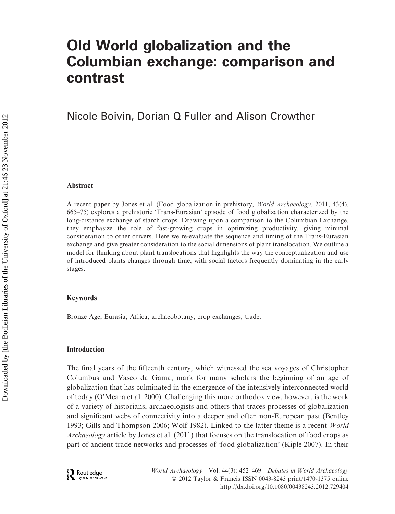# Old World globalization and the Columbian exchange: comparison and contrast

Nicole Boivin, Dorian Q Fuller and Alison Crowther

#### Abstract

A recent paper by Jones et al. (Food globalization in prehistory, World Archaeology, 2011, 43(4), 665–75) explores a prehistoric 'Trans-Eurasian' episode of food globalization characterized by the long-distance exchange of starch crops. Drawing upon a comparison to the Columbian Exchange, they emphasize the role of fast-growing crops in optimizing productivity, giving minimal consideration to other drivers. Here we re-evaluate the sequence and timing of the Trans-Eurasian exchange and give greater consideration to the social dimensions of plant translocation. We outline a model for thinking about plant translocations that highlights the way the conceptualization and use of introduced plants changes through time, with social factors frequently dominating in the early stages.

#### Keywords

Bronze Age; Eurasia; Africa; archaeobotany; crop exchanges; trade.

#### Introduction

The final years of the fifteenth century, which witnessed the sea voyages of Christopher Columbus and Vasco da Gama, mark for many scholars the beginning of an age of globalization that has culminated in the emergence of the intensively interconnected world of today (O'Meara et al. 2000). Challenging this more orthodox view, however, is the work of a variety of historians, archaeologists and others that traces processes of globalization and significant webs of connectivity into a deeper and often non-European past (Bentley 1993; Gills and Thompson 2006; Wolf 1982). Linked to the latter theme is a recent World Archaeology article by Jones et al. (2011) that focuses on the translocation of food crops as part of ancient trade networks and processes of 'food globalization' (Kiple 2007). In their

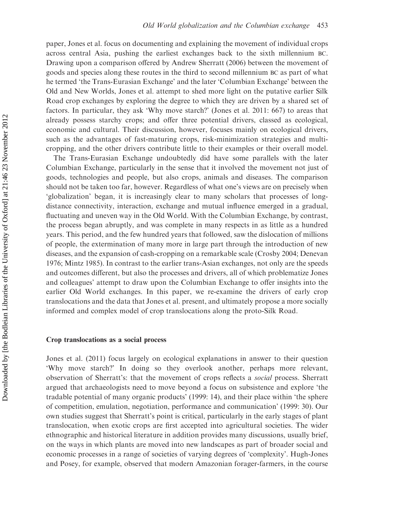paper, Jones et al. focus on documenting and explaining the movement of individual crops across central Asia, pushing the earliest exchanges back to the sixth millennium BC. Drawing upon a comparison offered by Andrew Sherratt (2006) between the movement of goods and species along these routes in the third to second millennium BC as part of what he termed 'the Trans-Eurasian Exchange' and the later 'Columbian Exchange' between the Old and New Worlds, Jones et al. attempt to shed more light on the putative earlier Silk Road crop exchanges by exploring the degree to which they are driven by a shared set of factors. In particular, they ask 'Why move starch?' (Jones et al. 2011: 667) to areas that already possess starchy crops; and offer three potential drivers, classed as ecological, economic and cultural. Their discussion, however, focuses mainly on ecological drivers, such as the advantages of fast-maturing crops, risk-minimization strategies and multicropping, and the other drivers contribute little to their examples or their overall model.

The Trans-Eurasian Exchange undoubtedly did have some parallels with the later Columbian Exchange, particularly in the sense that it involved the movement not just of goods, technologies and people, but also crops, animals and diseases. The comparison should not be taken too far, however. Regardless of what one's views are on precisely when 'globalization' began, it is increasingly clear to many scholars that processes of longdistance connectivity, interaction, exchange and mutual influence emerged in a gradual, fluctuating and uneven way in the Old World. With the Columbian Exchange, by contrast, the process began abruptly, and was complete in many respects in as little as a hundred years. This period, and the few hundred years that followed, saw the dislocation of millions of people, the extermination of many more in large part through the introduction of new diseases, and the expansion of cash-cropping on a remarkable scale (Crosby 2004; Denevan 1976; Mintz 1985). In contrast to the earlier trans-Asian exchanges, not only are the speeds and outcomes different, but also the processes and drivers, all of which problematize Jones and colleagues' attempt to draw upon the Columbian Exchange to offer insights into the earlier Old World exchanges. In this paper, we re-examine the drivers of early crop translocations and the data that Jones et al. present, and ultimately propose a more socially informed and complex model of crop translocations along the proto-Silk Road.

#### Crop translocations as a social process

Jones et al. (2011) focus largely on ecological explanations in answer to their question 'Why move starch?' In doing so they overlook another, perhaps more relevant, observation of Sherratt's: that the movement of crops reflects a social process. Sherratt argued that archaeologists need to move beyond a focus on subsistence and explore 'the tradable potential of many organic products' (1999: 14), and their place within 'the sphere of competition, emulation, negotiation, performance and communication' (1999: 30). Our own studies suggest that Sherratt's point is critical, particularly in the early stages of plant translocation, when exotic crops are first accepted into agricultural societies. The wider ethnographic and historical literature in addition provides many discussions, usually brief, on the ways in which plants are moved into new landscapes as part of broader social and economic processes in a range of societies of varying degrees of 'complexity'. Hugh-Jones and Posey, for example, observed that modern Amazonian forager-farmers, in the course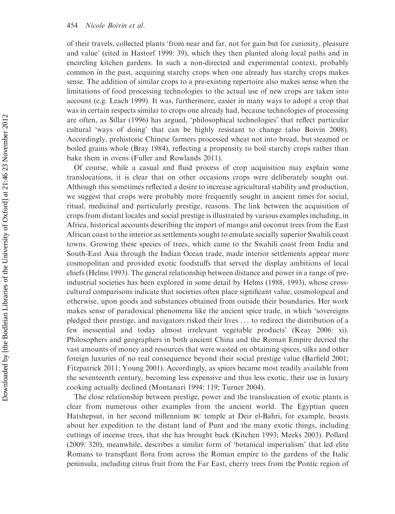of their travels, collected plants 'from near and far, not for gain but for curiosity, pleasure and value' (cited in Hastorf 1999: 39), which they then planted along local paths and in encircling kitchen gardens. In such a non-directed and experimental context, probably common in the past, acquiring starchy crops when one already has starchy crops makes sense. The addition of similar crops to a pre-existing repertoire also makes sense when the limitations of food processing technologies to the actual use of new crops are taken into account (e.g. Leach 1999). It was, furthermore, easier in many ways to adopt a crop that was in certain respects similar to crops one already had, because technologies of processing are often, as Sillar (1996) has argued, 'philosophical technologies' that reflect particular cultural 'ways of doing' that can be highly resistant to change (also Boivin 2008). Accordingly, prehistoric Chinese farmers processed wheat not into bread, but steamed or boiled grains whole (Bray 1984), reflecting a propensity to boil starchy crops rather than bake them in ovens (Fuller and Rowlands 2011).

Of course, while a casual and fluid process of crop acquisition may explain some translocations, it is clear that on other occasions crops were deliberately sought out. Although this sometimes reflected a desire to increase agricultural stability and production, we suggest that crops were probably more frequently sought in ancient times for social, ritual, medicinal and particularly prestige, reasons. The link between the acquisition of crops from distant locales and social prestige is illustrated by various examples including, in Africa, historical accounts describing the import of mango and coconut trees from the East African coast to the interior as settlements sought to emulate socially superior Swahili coast towns. Growing these species of trees, which came to the Swahili coast from India and South-East Asia through the Indian Ocean trade, made interior settlements appear more cosmopolitan and provided exotic foodstuffs that served the display ambitions of local chiefs (Helms 1993). The general relationship between distance and power in a range of preindustrial societies has been explored in some detail by Helms (1988, 1993), whose crosscultural comparisons indicate that societies often place significant value, cosmological and otherwise, upon goods and substances obtained from outside their boundaries. Her work makes sense of paradoxical phenomena like the ancient spice trade, in which 'sovereigns pledged their prestige, and navigators risked their lives . . . to redirect the distribution of a few inessential and today almost irrelevant vegetable products' (Keay 2006: xi). Philosophers and geographers in both ancient China and the Roman Empire decried the vast amounts of money and resources that were wasted on obtaining spices, silks and other foreign luxuries of no real consequence beyond their social prestige value (Barfield 2001; Fitzpatrick 2011; Young 2001). Accordingly, as spices became most readily available from the seventeenth century, becoming less expensive and thus less exotic, their use in luxury cooking actually declined (Montanari 1994: 119; Turner 2004).

The close relationship between prestige, power and the translocation of exotic plants is clear from numerous other examples from the ancient world. The Egyptian queen Hatshepsut, in her second millennium BC temple at Deir el-Bahri, for example, boasts about her expedition to the distant land of Punt and the many exotic things, including cuttings of incense trees, that she has brought back (Kitchen 1993; Meeks 2003). Pollard (2009: 320), meanwhile, describes a similar form of 'botanical imperialism' that led elite Romans to transplant flora from across the Roman empire to the gardens of the Italic peninsula, including citrus fruit from the Far East, cherry trees from the Pontic region of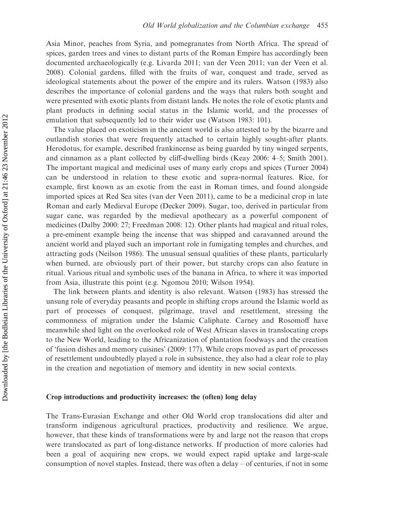Asia Minor, peaches from Syria, and pomegranates from North Africa. The spread of spices, garden trees and vines to distant parts of the Roman Empire has accordingly been documented archaeologically (e.g. Livarda 2011; van der Veen 2011; van der Veen et al. 2008). Colonial gardens, filled with the fruits of war, conquest and trade, served as ideological statements about the power of the empire and its rulers. Watson (1983) also describes the importance of colonial gardens and the ways that rulers both sought and were presented with exotic plants from distant lands. He notes the role of exotic plants and plant products in defining social status in the Islamic world, and the processes of emulation that subsequently led to their wider use (Watson 1983: 101).

The value placed on exoticism in the ancient world is also attested to by the bizarre and outlandish stories that were frequently attached to certain highly sought-after plants. Herodotus, for example, described frankincense as being guarded by tiny winged serpents, and cinnamon as a plant collected by cliff-dwelling birds (Keay 2006: 4–5; Smith 2001). The important magical and medicinal uses of many early crops and spices (Turner 2004) can be understood in relation to these exotic and supra-normal features. Rice, for example, first known as an exotic from the east in Roman times, and found alongside imported spices at Red Sea sites (van der Veen 2011), came to be a medicinal crop in late Roman and early Medieval Europe (Decker 2009). Sugar, too, derived in particular from sugar cane, was regarded by the medieval apothecary as a powerful component of medicines (Dalby 2000: 27; Freedman 2008: 12). Other plants had magical and ritual roles, a pre-eminent example being the incense that was shipped and caravanned around the ancient world and played such an important role in fumigating temples and churches, and attracting gods (Neilson 1986). The unusual sensual qualities of these plants, particularly when burned, are obviously part of their power, but starchy crops can also feature in ritual. Various ritual and symbolic uses of the banana in Africa, to where it was imported from Asia, illustrate this point (e.g. Ngomou 2010; Wilson 1954).

The link between plants and identity is also relevant. Watson (1983) has stressed the unsung role of everyday peasants and people in shifting crops around the Islamic world as part of processes of conquest, pilgrimage, travel and resettlement, stressing the commonness of migration under the Islamic Caliphate. Carney and Rosomoff have meanwhile shed light on the overlooked role of West African slaves in translocating crops to the New World, leading to the Africanization of plantation foodways and the creation of 'fusion dishes and memory cuisines' (2009: 177). While crops moved as part of processes of resettlement undoubtedly played a role in subsistence, they also had a clear role to play in the creation and negotiation of memory and identity in new social contexts.

#### Crop introductions and productivity increases: the (often) long delay

The Trans-Eurasian Exchange and other Old World crop translocations did alter and transform indigenous agricultural practices, productivity and resilience. We argue, however, that these kinds of transformations were by and large not the reason that crops were translocated as part of long-distance networks. If production of more calories had been a goal of acquiring new crops, we would expect rapid uptake and large-scale consumption of novel staples. Instead, there was often a delay – of centuries, if not in some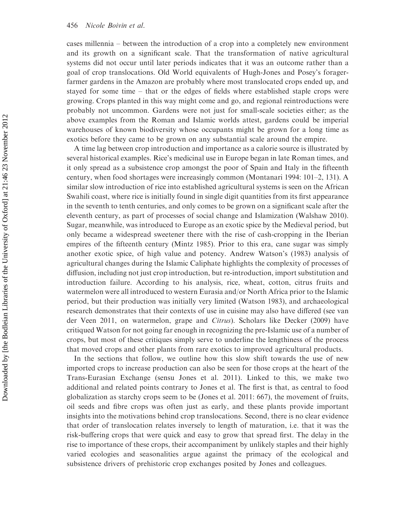cases millennia – between the introduction of a crop into a completely new environment and its growth on a significant scale. That the transformation of native agricultural systems did not occur until later periods indicates that it was an outcome rather than a goal of crop translocations. Old World equivalents of Hugh-Jones and Posey's foragerfarmer gardens in the Amazon are probably where most translocated crops ended up, and stayed for some time – that or the edges of fields where established staple crops were growing. Crops planted in this way might come and go, and regional reintroductions were probably not uncommon. Gardens were not just for small-scale societies either; as the above examples from the Roman and Islamic worlds attest, gardens could be imperial warehouses of known biodiversity whose occupants might be grown for a long time as exotics before they came to be grown on any substantial scale around the empire.

A time lag between crop introduction and importance as a calorie source is illustrated by several historical examples. Rice's medicinal use in Europe began in late Roman times, and it only spread as a subsistence crop amongst the poor of Spain and Italy in the fifteenth century, when food shortages were increasingly common (Montanari 1994: 101–2, 131). A similar slow introduction of rice into established agricultural systems is seen on the African Swahili coast, where rice is initially found in single digit quantities from its first appearance in the seventh to tenth centuries, and only comes to be grown on a significant scale after the eleventh century, as part of processes of social change and Islamization (Walshaw 2010). Sugar, meanwhile, was introduced to Europe as an exotic spice by the Medieval period, but only became a widespread sweetener there with the rise of cash-cropping in the Iberian empires of the fifteenth century (Mintz 1985). Prior to this era, cane sugar was simply another exotic spice, of high value and potency. Andrew Watson's (1983) analysis of agricultural changes during the Islamic Caliphate highlights the complexity of processes of diffusion, including not just crop introduction, but re-introduction, import substitution and introduction failure. According to his analysis, rice, wheat, cotton, citrus fruits and watermelon were all introduced to western Eurasia and/or North Africa prior to the Islamic period, but their production was initially very limited (Watson 1983), and archaeological research demonstrates that their contexts of use in cuisine may also have differed (see van der Veen 2011, on watermelon, grape and Citrus). Scholars like Decker (2009) have critiqued Watson for not going far enough in recognizing the pre-Islamic use of a number of crops, but most of these critiques simply serve to underline the lengthiness of the process that moved crops and other plants from rare exotics to improved agricultural products.

In the sections that follow, we outline how this slow shift towards the use of new imported crops to increase production can also be seen for those crops at the heart of the Trans-Eurasian Exchange (sensu Jones et al. 2011). Linked to this, we make two additional and related points contrary to Jones et al. The first is that, as central to food globalization as starchy crops seem to be (Jones et al. 2011: 667), the movement of fruits, oil seeds and fibre crops was often just as early, and these plants provide important insights into the motivations behind crop translocations. Second, there is no clear evidence that order of translocation relates inversely to length of maturation, i.e. that it was the risk-buffering crops that were quick and easy to grow that spread first. The delay in the rise to importance of these crops, their accompaniment by unlikely staples and their highly varied ecologies and seasonalities argue against the primacy of the ecological and subsistence drivers of prehistoric crop exchanges posited by Jones and colleagues.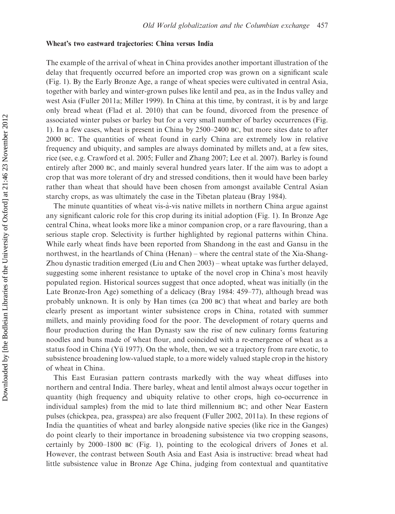#### Wheat's two eastward trajectories: China versus India

The example of the arrival of wheat in China provides another important illustration of the delay that frequently occurred before an imported crop was grown on a significant scale (Fig. 1). By the Early Bronze Age, a range of wheat species were cultivated in central Asia, together with barley and winter-grown pulses like lentil and pea, as in the Indus valley and west Asia (Fuller 2011a; Miller 1999). In China at this time, by contrast, it is by and large only bread wheat (Flad et al. 2010) that can be found, divorced from the presence of associated winter pulses or barley but for a very small number of barley occurrences (Fig. 1). In a few cases, wheat is present in China by 2500–2400 BC, but more sites date to after 2000 BC. The quantities of wheat found in early China are extremely low in relative frequency and ubiquity, and samples are always dominated by millets and, at a few sites, rice (see, e.g. Crawford et al. 2005; Fuller and Zhang 2007; Lee et al. 2007). Barley is found entirely after 2000 BC, and mainly several hundred years later. If the aim was to adopt a crop that was more tolerant of dry and stressed conditions, then it would have been barley rather than wheat that should have been chosen from amongst available Central Asian starchy crops, as was ultimately the case in the Tibetan plateau (Bray 1984).

The minute quantities of wheat vis-à-vis native millets in northern China argue against any significant caloric role for this crop during its initial adoption (Fig. 1). In Bronze Age central China, wheat looks more like a minor companion crop, or a rare flavouring, than a serious staple crop. Selectivity is further highlighted by regional patterns within China. While early wheat finds have been reported from Shandong in the east and Gansu in the northwest, in the heartlands of China (Henan) – where the central state of the Xia-Shang-Zhou dynastic tradition emerged (Liu and Chen 2003) – wheat uptake was further delayed, suggesting some inherent resistance to uptake of the novel crop in China's most heavily populated region. Historical sources suggest that once adopted, wheat was initially (in the Late Bronze-Iron Age) something of a delicacy (Bray 1984: 459–77), although bread was probably unknown. It is only by Han times (ca 200 BC) that wheat and barley are both clearly present as important winter subsistence crops in China, rotated with summer millets, and mainly providing food for the poor. The development of rotary querns and flour production during the Han Dynasty saw the rise of new culinary forms featuring noodles and buns made of wheat flour, and coincided with a re-emergence of wheat as a status food in China (Yü 1977). On the whole, then, we see a trajectory from rare exotic, to subsistence broadening low-valued staple, to a more widely valued staple crop in the history of wheat in China.

This East Eurasian pattern contrasts markedly with the way wheat diffuses into northern and central India. There barley, wheat and lentil almost always occur together in quantity (high frequency and ubiquity relative to other crops, high co-occurrence in individual samples) from the mid to late third millennium BC; and other Near Eastern pulses (chickpea, pea, grasspea) are also frequent (Fuller 2002, 2011a). In these regions of India the quantities of wheat and barley alongside native species (like rice in the Ganges) do point clearly to their importance in broadening subsistence via two cropping seasons, certainly by 2000–1800 BC (Fig. 1), pointing to the ecological drivers of Jones et al. However, the contrast between South Asia and East Asia is instructive: bread wheat had little subsistence value in Bronze Age China, judging from contextual and quantitative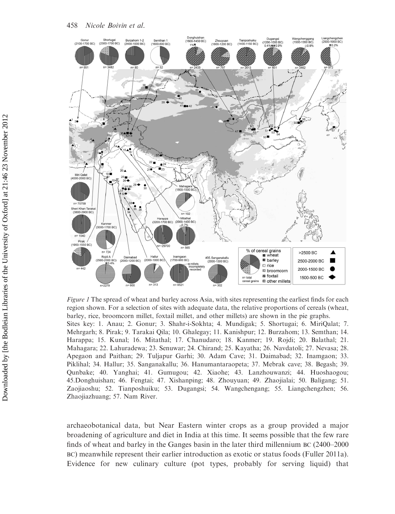

Figure 1 The spread of wheat and barley across Asia, with sites representing the earliest finds for each region shown. For a selection of sites with adequate data, the relative proportions of cereals (wheat, barley, rice, broomcorn millet, foxtail millet, and other millets) are shown in the pie graphs. Sites key: 1. Anau; 2. Gonur; 3. Shahr-i-Sokhta; 4. Mundigak; 5. Shortugai; 6. MiriQalat; 7. Mehrgarh; 8. Pirak; 9. Tarakai Qila; 10. Ghalegay; 11. Kanishpur; 12. Burzahom; 13. Semthan; 14. Harappa; 15. Kunal; 16. Mitathal; 17. Chanudaro; 18. Kanmer; 19. Rojdi; 20. Balathal; 21. Mahagara; 22. Lahuradewa; 23. Senuwar; 24. Chirand; 25. Kayatha; 26. Navdatoli; 27. Nevasa; 28. Apegaon and Paithan; 29. Tuljapur Garhi; 30. Adam Cave; 31. Daimabad; 32. Inamgaon; 33. Piklihal; 34. Hallur; 35. Sanganakallu; 36. Hanumantaraopeta; 37. Mebrak cave; 38. Begash; 39. Qunbake; 40. Yanghai; 41. Gumugou; 42. Xiaohe; 43. Lanzhouwanzi; 44. Huoshaogou; 45.Donghuishan; 46. Fengtai; 47. Xishanping; 48. Zhouyuan; 49. Zhaojialai; 50. Baligang; 51. Zaojiaoshu; 52. Tianposhuiku; 53. Dugangsi; 54. Wangchengang; 55. Liangchengzhen; 56. Zhaojiazhuang; 57. Nam River.

archaeobotanical data, but Near Eastern winter crops as a group provided a major broadening of agriculture and diet in India at this time. It seems possible that the few rare finds of wheat and barley in the Ganges basin in the later third millennium BC (2400–2000 BC) meanwhile represent their earlier introduction as exotic or status foods (Fuller 2011a). Evidence for new culinary culture (pot types, probably for serving liquid) that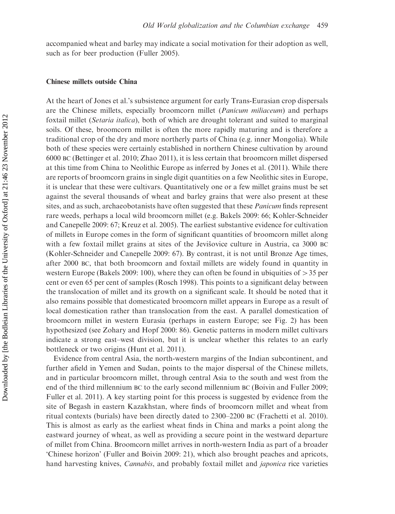accompanied wheat and barley may indicate a social motivation for their adoption as well, such as for beer production (Fuller 2005).

#### Chinese millets outside China

At the heart of Jones et al.'s subsistence argument for early Trans-Eurasian crop dispersals are the Chinese millets, especially broomcorn millet (Panicum miliaceum) and perhaps foxtail millet (Setaria italica), both of which are drought tolerant and suited to marginal soils. Of these, broomcorn millet is often the more rapidly maturing and is therefore a traditional crop of the dry and more northerly parts of China (e.g. inner Mongolia). While both of these species were certainly established in northern Chinese cultivation by around 6000 BC (Bettinger et al. 2010; Zhao 2011), it is less certain that broomcorn millet dispersed at this time from China to Neolithic Europe as inferred by Jones et al. (2011). While there are reports of broomcorn grains in single digit quantities on a few Neolithic sites in Europe, it is unclear that these were cultivars. Quantitatively one or a few millet grains must be set against the several thousands of wheat and barley grains that were also present at these sites, and as such, archaeobotanists have often suggested that these Panicum finds represent rare weeds, perhaps a local wild broomcorn millet (e.g. Bakels 2009: 66; Kohler-Schneider and Canepelle 2009: 67; Kreuz et al. 2005). The earliest substantive evidence for cultivation of millets in Europe comes in the form of significant quantities of broomcorn millet along with a few foxtail millet grains at sites of the Jevišovice culture in Austria, ca 3000 BC (Kohler-Schneider and Canepelle 2009: 67). By contrast, it is not until Bronze Age times, after 2000 BC, that both broomcorn and foxtail millets are widely found in quantity in western Europe (Bakels 2009: 100), where they can often be found in ubiquities of  $>$  35 per cent or even 65 per cent of samples (Rosch 1998). This points to a significant delay between the translocation of millet and its growth on a significant scale. It should be noted that it also remains possible that domesticated broomcorn millet appears in Europe as a result of local domestication rather than translocation from the east. A parallel domestication of broomcorn millet in western Eurasia (perhaps in eastern Europe; see Fig. 2) has been hypothesized (see Zohary and Hopf 2000: 86). Genetic patterns in modern millet cultivars indicate a strong east–west division, but it is unclear whether this relates to an early bottleneck or two origins (Hunt et al. 2011).

Evidence from central Asia, the north-western margins of the Indian subcontinent, and further afield in Yemen and Sudan, points to the major dispersal of the Chinese millets, and in particular broomcorn millet, through central Asia to the south and west from the end of the third millennium BC to the early second millennium BC (Boivin and Fuller 2009; Fuller et al. 2011). A key starting point for this process is suggested by evidence from the site of Begash in eastern Kazakhstan, where finds of broomcorn millet and wheat from ritual contexts (burials) have been directly dated to 2300–2200 BC (Frachetti et al. 2010). This is almost as early as the earliest wheat finds in China and marks a point along the eastward journey of wheat, as well as providing a secure point in the westward departure of millet from China. Broomcorn millet arrives in north-western India as part of a broader 'Chinese horizon' (Fuller and Boivin 2009: 21), which also brought peaches and apricots, hand harvesting knives, *Cannabis*, and probably foxtail millet and *japonica* rice varieties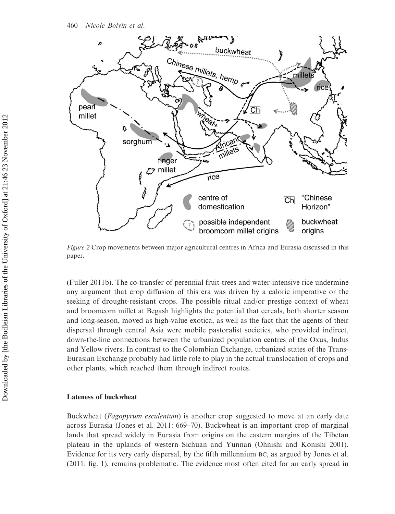

Figure 2 Crop movements between major agricultural centres in Africa and Eurasia discussed in this paper.

(Fuller 2011b). The co-transfer of perennial fruit-trees and water-intensive rice undermine any argument that crop diffusion of this era was driven by a caloric imperative or the seeking of drought-resistant crops. The possible ritual and/or prestige context of wheat and broomcorn millet at Begash highlights the potential that cereals, both shorter season and long-season, moved as high-value exotica, as well as the fact that the agents of their dispersal through central Asia were mobile pastoralist societies, who provided indirect, down-the-line connections between the urbanized population centres of the Oxus, Indus and Yellow rivers. In contrast to the Colombian Exchange, urbanized states of the Trans-Eurasian Exchange probably had little role to play in the actual translocation of crops and other plants, which reached them through indirect routes.

#### Lateness of buckwheat

Buckwheat (Fagopyrum esculentum) is another crop suggested to move at an early date across Eurasia (Jones et al. 2011: 669–70). Buckwheat is an important crop of marginal lands that spread widely in Eurasia from origins on the eastern margins of the Tibetan plateau in the uplands of western Sichuan and Yunnan (Ohnishi and Konishi 2001). Evidence for its very early dispersal, by the fifth millennium BC, as argued by Jones et al. (2011: fig. 1), remains problematic. The evidence most often cited for an early spread in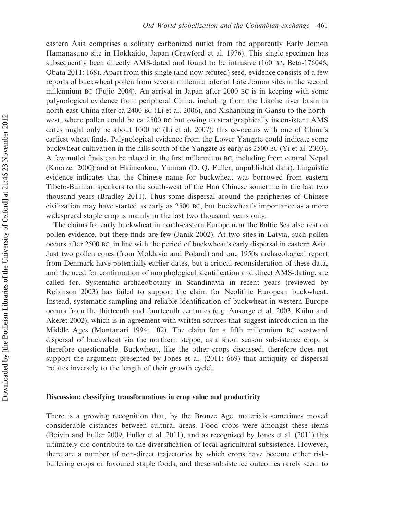eastern Asia comprises a solitary carbonized nutlet from the apparently Early Jomon Hamanasuno site in Hokkaido, Japan (Crawford et al. 1976). This single specimen has subsequently been directly AMS-dated and found to be intrusive (160 BP, Beta-176046; Obata 2011: 168). Apart from this single (and now refuted) seed, evidence consists of a few reports of buckwheat pollen from several millennia later at Late Jomon sites in the second millennium BC (Fujio 2004). An arrival in Japan after 2000 BC is in keeping with some palynological evidence from peripheral China, including from the Liaohe river basin in north-east China after ca 2400 BC (Li et al. 2006), and Xishanping in Gansu to the northwest, where pollen could be ca 2500 BC but owing to stratigraphically inconsistent AMS dates might only be about 1000 BC (Li et al. 2007); this co-occurs with one of China's earliest wheat finds. Palynological evidence from the Lower Yangzte could indicate some buckwheat cultivation in the hills south of the Yangzte as early as 2500 BC (Yi et al. 2003). A few nutlet finds can be placed in the first millennium BC, including from central Nepal (Knorzer 2000) and at Haimenkou, Yunnan (D. Q. Fuller, unpublished data). Linguistic evidence indicates that the Chinese name for buckwheat was borrowed from eastern Tibeto-Burman speakers to the south-west of the Han Chinese sometime in the last two thousand years (Bradley 2011). Thus some dispersal around the peripheries of Chinese civilization may have started as early as 2500 BC, but buckwheat's importance as a more widespread staple crop is mainly in the last two thousand years only.

The claims for early buckwheat in north-eastern Europe near the Baltic Sea also rest on pollen evidence, but these finds are few (Janik 2002). At two sites in Latvia, such pollen occurs after 2500 BC, in line with the period of buckwheat's early dispersal in eastern Asia. Just two pollen cores (from Moldavia and Poland) and one 1950s archaeological report from Denmark have potentially earlier dates, but a critical reconsideration of these data, and the need for confirmation of morphological identification and direct AMS-dating, are called for. Systematic archaeobotany in Scandinavia in recent years (reviewed by Robinson 2003) has failed to support the claim for Neolithic European buckwheat. Instead, systematic sampling and reliable identification of buckwheat in western Europe occurs from the thirteenth and fourteenth centuries (e.g. Ansorge et al. 2003; Kühn and Akeret 2002), which is in agreement with written sources that suggest introduction in the Middle Ages (Montanari 1994: 102). The claim for a fifth millennium BC westward dispersal of buckwheat via the northern steppe, as a short season subsistence crop, is therefore questionable. Buckwheat, like the other crops discussed, therefore does not support the argument presented by Jones et al. (2011: 669) that antiquity of dispersal 'relates inversely to the length of their growth cycle'.

#### Discussion: classifying transformations in crop value and productivity

There is a growing recognition that, by the Bronze Age, materials sometimes moved considerable distances between cultural areas. Food crops were amongst these items (Boivin and Fuller 2009; Fuller et al. 2011), and as recognized by Jones et al. (2011) this ultimately did contribute to the diversification of local agricultural subsistence. However, there are a number of non-direct trajectories by which crops have become either riskbuffering crops or favoured staple foods, and these subsistence outcomes rarely seem to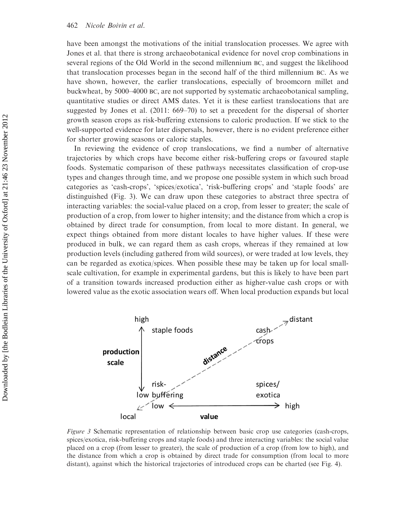have been amongst the motivations of the initial translocation processes. We agree with Jones et al. that there is strong archaeobotanical evidence for novel crop combinations in several regions of the Old World in the second millennium BC, and suggest the likelihood that translocation processes began in the second half of the third millennium BC. As we have shown, however, the earlier translocations, especially of broomcorn millet and buckwheat, by 5000–4000 BC, are not supported by systematic archaeobotanical sampling, quantitative studies or direct AMS dates. Yet it is these earliest translocations that are suggested by Jones et al. (2011: 669–70) to set a precedent for the dispersal of shorter growth season crops as risk-buffering extensions to caloric production. If we stick to the well-supported evidence for later dispersals, however, there is no evident preference either for shorter growing seasons or caloric staples.

In reviewing the evidence of crop translocations, we find a number of alternative trajectories by which crops have become either risk-buffering crops or favoured staple foods. Systematic comparison of these pathways necessitates classification of crop-use types and changes through time, and we propose one possible system in which such broad categories as 'cash-crops', 'spices/exotica', 'risk-buffering crops' and 'staple foods' are distinguished (Fig. 3). We can draw upon these categories to abstract three spectra of interacting variables: the social-value placed on a crop, from lesser to greater; the scale of production of a crop, from lower to higher intensity; and the distance from which a crop is obtained by direct trade for consumption, from local to more distant. In general, we expect things obtained from more distant locales to have higher values. If these were produced in bulk, we can regard them as cash crops, whereas if they remained at low production levels (including gathered from wild sources), or were traded at low levels, they can be regarded as exotica/spices. When possible these may be taken up for local smallscale cultivation, for example in experimental gardens, but this is likely to have been part of a transition towards increased production either as higher-value cash crops or with lowered value as the exotic association wears off. When local production expands but local



Figure 3 Schematic representation of relationship between basic crop use categories (cash-crops, spices/exotica, risk-buffering crops and staple foods) and three interacting variables: the social value placed on a crop (from lesser to greater), the scale of production of a crop (from low to high), and the distance from which a crop is obtained by direct trade for consumption (from local to more distant), against which the historical trajectories of introduced crops can be charted (see Fig. 4).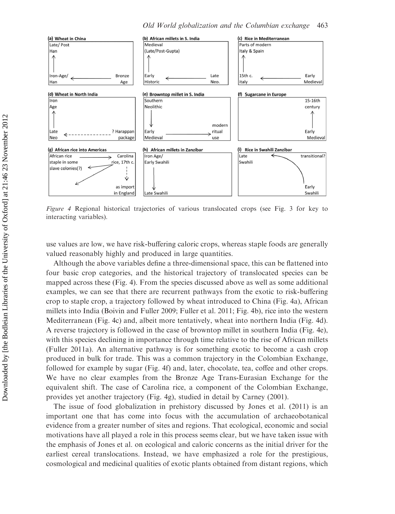Old World globalization and the Columbian exchange 463



Figure 4 Regional historical trajectories of various translocated crops (see Fig. 3 for key to interacting variables).

use values are low, we have risk-buffering caloric crops, whereas staple foods are generally valued reasonably highly and produced in large quantities.

Although the above variables define a three-dimensional space, this can be flattened into four basic crop categories, and the historical trajectory of translocated species can be mapped across these (Fig. 4). From the species discussed above as well as some additional examples, we can see that there are recurrent pathways from the exotic to risk-buffering crop to staple crop, a trajectory followed by wheat introduced to China (Fig. 4a), African millets into India (Boivin and Fuller 2009; Fuller et al. 2011; Fig. 4b), rice into the western Mediterranean (Fig. 4c) and, albeit more tentatively, wheat into northern India (Fig. 4d). A reverse trajectory is followed in the case of browntop millet in southern India (Fig. 4e), with this species declining in importance through time relative to the rise of African millets (Fuller 2011a). An alternative pathway is for something exotic to become a cash crop produced in bulk for trade. This was a common trajectory in the Colombian Exchange, followed for example by sugar (Fig. 4f) and, later, chocolate, tea, coffee and other crops. We have no clear examples from the Bronze Age Trans-Eurasian Exchange for the equivalent shift. The case of Carolina rice, a component of the Colombian Exchange, provides yet another trajectory (Fig. 4g), studied in detail by Carney (2001).

The issue of food globalization in prehistory discussed by Jones et al. (2011) is an important one that has come into focus with the accumulation of archaeobotanical evidence from a greater number of sites and regions. That ecological, economic and social motivations have all played a role in this process seems clear, but we have taken issue with the emphasis of Jones et al. on ecological and caloric concerns as the initial driver for the earliest cereal translocations. Instead, we have emphasized a role for the prestigious, cosmological and medicinal qualities of exotic plants obtained from distant regions, which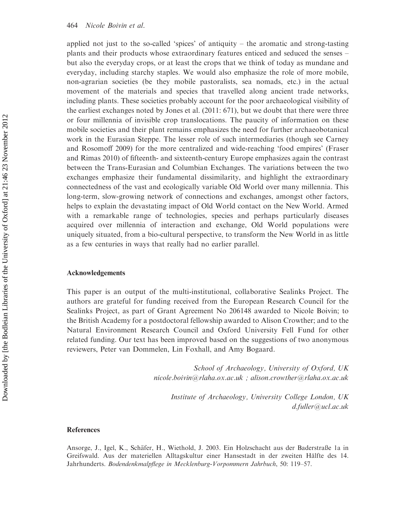applied not just to the so-called 'spices' of antiquity – the aromatic and strong-tasting plants and their products whose extraordinary features enticed and seduced the senses – but also the everyday crops, or at least the crops that we think of today as mundane and everyday, including starchy staples. We would also emphasize the role of more mobile, non-agrarian societies (be they mobile pastoralists, sea nomads, etc.) in the actual movement of the materials and species that travelled along ancient trade networks, including plants. These societies probably account for the poor archaeological visibility of the earliest exchanges noted by Jones et al. (2011: 671), but we doubt that there were three or four millennia of invisible crop translocations. The paucity of information on these mobile societies and their plant remains emphasizes the need for further archaeobotanical work in the Eurasian Steppe. The lesser role of such intermediaries (though see Carney and Rosomoff 2009) for the more centralized and wide-reaching 'food empires' (Fraser and Rimas 2010) of fifteenth- and sixteenth-century Europe emphasizes again the contrast between the Trans-Eurasian and Columbian Exchanges. The variations between the two exchanges emphasize their fundamental dissimilarity, and highlight the extraordinary connectedness of the vast and ecologically variable Old World over many millennia. This long-term, slow-growing network of connections and exchanges, amongst other factors, helps to explain the devastating impact of Old World contact on the New World. Armed with a remarkable range of technologies, species and perhaps particularly diseases acquired over millennia of interaction and exchange, Old World populations were uniquely situated, from a bio-cultural perspective, to transform the New World in as little as a few centuries in ways that really had no earlier parallel.

#### Acknowledgements

This paper is an output of the multi-institutional, collaborative Sealinks Project. The authors are grateful for funding received from the European Research Council for the Sealinks Project, as part of Grant Agreement No 206148 awarded to Nicole Boivin; to the British Academy for a postdoctoral fellowship awarded to Alison Crowther; and to the Natural Environment Research Council and Oxford University Fell Fund for other related funding. Our text has been improved based on the suggestions of two anonymous reviewers, Peter van Dommelen, Lin Foxhall, and Amy Bogaard.

> School of Archaeology, University of Oxford, UK nicole.boivin@rlaha.ox.ac.uk ; alison.crowther@rlaha.ox.ac.uk

Institute of Archaeology, University College London, UK d.fuller@ucl.ac.uk

#### References

Ansorge, J., Igel, K., Schäfer, H., Wiethold, J. 2003. Ein Holzschacht aus der Baderstraße 1a in Greifswald. Aus der materiellen Alltagskultur einer Hansestadt in der zweiten Hälfte des 14. Jahrhunderts. Bodendenkmalpflege in Mecklenburg-Vorpommern Jahrbuch, 50: 119–57.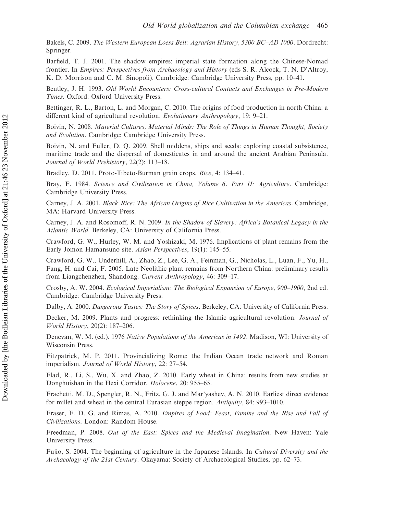Bakels, C. 2009. The Western European Loess Belt: Agrarian History, 5300 BC–AD 1000. Dordrecht: Springer.

Barfield, T. J. 2001. The shadow empires: imperial state formation along the Chinese-Nomad frontier. In Empires: Perspectives from Archaeology and History (eds S. R. Alcock, T. N. D'Altroy, K. D. Morrison and C. M. Sinopoli). Cambridge: Cambridge University Press, pp. 10–41.

Bentley, J. H. 1993. Old World Encounters: Cross-cultural Contacts and Exchanges in Pre-Modern Times. Oxford: Oxford University Press.

Bettinger, R. L., Barton, L. and Morgan, C. 2010. The origins of food production in north China: a different kind of agricultural revolution. Evolutionary Anthropology, 19: 9-21.

Boivin, N. 2008. Material Cultures, Material Minds: The Role of Things in Human Thought, Society and Evolution. Cambridge: Cambridge University Press.

Boivin, N. and Fuller, D. Q. 2009. Shell middens, ships and seeds: exploring coastal subsistence, maritime trade and the dispersal of domesticates in and around the ancient Arabian Peninsula. Journal of World Prehistory, 22(2): 113–18.

Bradley, D. 2011. Proto-Tibeto-Burman grain crops. Rice, 4: 134–41.

Bray, F. 1984. Science and Civilisation in China, Volume 6. Part II: Agriculture. Cambridge: Cambridge University Press.

Carney, J. A. 2001. Black Rice: The African Origins of Rice Cultivation in the Americas. Cambridge, MA: Harvard University Press.

Carney, J. A. and Rosomoff, R. N. 2009. In the Shadow of Slavery: Africa's Botanical Legacy in the Atlantic World. Berkeley, CA: University of California Press.

Crawford, G. W., Hurley, W. M. and Yoshizaki, M. 1976. Implications of plant remains from the Early Jomon Hamansuno site. Asian Perspectives, 19(1): 145–55.

Crawford, G. W., Underhill, A., Zhao, Z., Lee, G. A., Feinman, G., Nicholas, L., Luan, F., Yu, H., Fang, H. and Cai, F. 2005. Late Neolithic plant remains from Northern China: preliminary results from Liangchenzhen, Shandong. Current Anthropology, 46: 309–17.

Crosby, A. W. 2004. Ecological Imperialism: The Biological Expansion of Europe, 900–1900, 2nd ed. Cambridge: Cambridge University Press.

Dalby, A. 2000. Dangerous Tastes: The Story of Spices. Berkeley, CA: University of California Press.

Decker, M. 2009. Plants and progress: rethinking the Islamic agricultural revolution. Journal of World History, 20(2): 187–206.

Denevan, W. M. (ed.). 1976 Native Populations of the Americas in 1492. Madison, WI: University of Wisconsin Press.

Fitzpatrick, M. P. 2011. Provincializing Rome: the Indian Ocean trade network and Roman imperialism. Journal of World History, 22: 27–54.

Flad, R., Li, S., Wu, X. and Zhao, Z. 2010. Early wheat in China: results from new studies at Donghuishan in the Hexi Corridor. Holocene, 20: 955–65.

Frachetti, M. D., Spengler, R. N., Fritz, G. J. and Mar'yashev, A. N. 2010. Earliest direct evidence for millet and wheat in the central Eurasian steppe region. Antiquity, 84: 993–1010.

Fraser, E. D. G. and Rimas, A. 2010. Empires of Food: Feast, Famine and the Rise and Fall of Civilizations. London: Random House.

Freedman, P. 2008. Out of the East: Spices and the Medieval Imagination. New Haven: Yale University Press.

Fujio, S. 2004. The beginning of agriculture in the Japanese Islands. In Cultural Diversity and the Archaeology of the 21st Century. Okayama: Society of Archaeological Studies, pp. 62–73.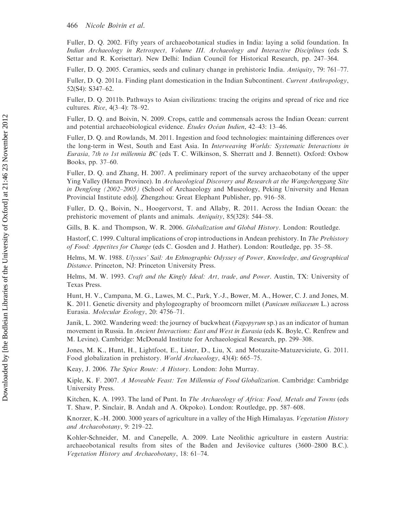Fuller, D. Q. 2002. Fifty years of archaeobotanical studies in India: laying a solid foundation. In Indian Archaeology in Retrospect, Volume III. Archaeology and Interactive Disciplines (eds S. Settar and R. Korisettar). New Delhi: Indian Council for Historical Research, pp. 247–364.

Fuller, D. Q. 2005. Ceramics, seeds and culinary change in prehistoric India. Antiquity, 79: 761–77.

Fuller, D. Q. 2011a. Finding plant domestication in the Indian Subcontinent. Current Anthropology, 52(S4): S347–62.

Fuller, D. Q. 2011b. Pathways to Asian civilizations: tracing the origins and spread of rice and rice cultures. Rice, 4(3–4): 78–92.

Fuller, D. Q. and Boivin, N. 2009. Crops, cattle and commensals across the Indian Ocean: current and potential archaeobiological evidence. Études Océan Indien, 42-43: 13-46.

Fuller, D. Q. and Rowlands, M. 2011. Ingestion and food technologies: maintaining differences over the long-term in West, South and East Asia. In Interweaving Worlds: Systematic Interactions in Eurasia, 7th to 1st millennia BC (eds T. C. Wilkinson, S. Sherratt and J. Bennett). Oxford: Oxbow Books, pp. 37–60.

Fuller, D. Q. and Zhang, H. 2007. A preliminary report of the survey archaeobotany of the upper Ying Valley (Henan Province). In Archaeological Discovery and Research at the Wangchenggang Site in Dengfeng (2002–2005) (School of Archaeology and Museology, Peking University and Henan Provincial Institute eds)]. Zhengzhou: Great Elephant Publisher, pp. 916–58.

Fuller, D. Q., Boivin, N., Hoogervorst, T. and Allaby, R. 2011. Across the Indian Ocean: the prehistoric movement of plants and animals. Antiquity, 85(328): 544–58.

Gills, B. K. and Thompson, W. R. 2006. Globalization and Global History. London: Routledge.

Hastorf, C. 1999. Cultural implications of crop introductions in Andean prehistory. In The Prehistory of Food: Appetites for Change (eds C. Gosden and J. Hather). London: Routledge, pp. 35–58.

Helms, M. W. 1988. Ulysses' Sail: An Ethnographic Odyssey of Power, Knowledge, and Geographical Distance. Princeton, NJ: Princeton University Press.

Helms, M. W. 1993. Craft and the Kingly Ideal: Art, trade, and Power. Austin, TX: University of Texas Press.

Hunt, H. V., Campana, M. G., Lawes, M. C., Park, Y.-J., Bower, M. A., Hower, C. J. and Jones, M. K. 2011. Genetic diversity and phylogeography of broomcorn millet (Panicum miliaceum L.) across Eurasia. Molecular Ecology, 20: 4756–71.

Janik, L. 2002. Wandering weed: the journey of buckwheat (Fagopyrum sp.) as an indicator of human movement in Russia. In Ancient Interactions: East and West in Eurasia (eds K. Boyle, C. Renfrew and M. Levine). Cambridge: McDonald Institute for Archaeological Research, pp. 299–308.

Jones, M. K., Hunt, H., Lightfoot, E., Lister, D., Liu, X. and Motuzaite-Matuzeviciute, G. 2011. Food globalization in prehistory. World Archaeology, 43(4): 665–75.

Keay, J. 2006. The Spice Route: A History. London: John Murray.

Kiple, K. F. 2007. A Moveable Feast: Ten Millennia of Food Globalization. Cambridge: Cambridge University Press.

Kitchen, K. A. 1993. The land of Punt. In The Archaeology of Africa: Food, Metals and Towns (eds T. Shaw, P. Sinclair, B. Andah and A. Okpoko). London: Routledge, pp. 587–608.

Knorzer, K.-H. 2000. 3000 years of agriculture in a valley of the High Himalayas. Vegetation History and Archaeobotany, 9: 219–22.

Kohler-Schneider, M. and Canepelle, A. 2009. Late Neolithic agriculture in eastern Austria: archaeobotanical results from sites of the Baden and Jevisovice cultures (3600–2800 B.C.). Vegetation History and Archaeobotany, 18: 61–74.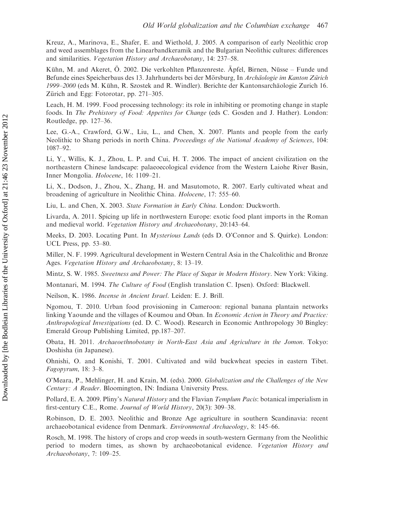Kreuz, A., Marinova, E., Shafer, E. and Wiethold, J. 2005. A comparison of early Neolithic crop and weed assemblages from the Linearbandkeramik and the Bulgarian Neolithic cultures: differences and similarities. Vegetation History and Archaeobotany, 14: 237–58.

Kühn, M. and Akeret, Ö. 2002. Die verkohlten Pflanzenreste. Äpfel, Birnen, Nüsse – Funde und Befunde eines Speicherbaus des 13. Jahrhunderts bei der Mörsburg, In Archäologie im Kanton Zürich 1999–2000 (eds M. Kühn, R. Szostek and R. Windler). Berichte der Kantonsarchäologie Zurich 16. Zürich and Egg: Fotorotar, pp. 271–305.

Leach, H. M. 1999. Food processing technology: its role in inhibiting or promoting change in staple foods. In The Prehistory of Food: Appetites for Change (eds C. Gosden and J. Hather). London: Routledge, pp. 127–36.

Lee, G.-A., Crawford, G.W., Liu, L., and Chen, X. 2007. Plants and people from the early Neolithic to Shang periods in north China. Proceedings of the National Academy of Sciences, 104: 1087–92.

Li, Y., Willis, K. J., Zhou, L. P. and Cui, H. T. 2006. The impact of ancient civilization on the northeastern Chinese landscape: palaeoecological evidence from the Western Laiohe River Basin, Inner Mongolia. Holocene, 16: 1109–21.

Li, X., Dodson, J., Zhou, X., Zhang, H. and Masutomoto, R. 2007. Early cultivated wheat and broadening of agriculture in Neolithic China. Holocene, 17: 555–60.

Liu, L. and Chen, X. 2003. State Formation in Early China. London: Duckworth.

Livarda, A. 2011. Spicing up life in northwestern Europe: exotic food plant imports in the Roman and medieval world. Vegetation History and Archaeobotany, 20:143–64.

Meeks, D. 2003. Locating Punt. In Mysterious Lands (eds D. O'Connor and S. Quirke). London: UCL Press, pp. 53–80.

Miller, N. F. 1999. Agricultural development in Western Central Asia in the Chalcolithic and Bronze Ages. Vegetation History and Archaeobotany, 8: 13–19.

Mintz, S. W. 1985. Sweetness and Power: The Place of Sugar in Modern History. New York: Viking.

Montanari, M. 1994. The Culture of Food (English translation C. Ipsen). Oxford: Blackwell.

Neilson, K. 1986. Incense in Ancient Israel. Leiden: E. J. Brill.

Ngomou, T. 2010. Urban food provisioning in Cameroon: regional banana plantain networks linking Yaounde and the villages of Koumou and Oban. In Economic Action in Theory and Practice: Anthropological Investigations (ed. D. C. Wood). Research in Economic Anthropology 30 Bingley: Emerald Group Publishing Limited, pp.187–207.

Obata, H. 2011. Archaeoethnobotany in North-East Asia and Agriculture in the Jomon. Tokyo: Doshisha (in Japanese).

Ohnishi, O. and Konishi, T. 2001. Cultivated and wild buckwheat species in eastern Tibet. Fagopyrum, 18: 3–8.

O'Meara, P., Mehlinger, H. and Krain, M. (eds). 2000. Globalization and the Challenges of the New Century: A Reader. Bloomington, IN: Indiana University Press.

Pollard, E. A. 2009. Pliny's Natural History and the Flavian Templum Pacis: botanical imperialism in first-century C.E., Rome. Journal of World History, 20(3): 309–38.

Robinson, D. E. 2003. Neolithic and Bronze Age agriculture in southern Scandinavia: recent archaeobotanical evidence from Denmark. Environmental Archaeology, 8: 145–66.

Rosch, M. 1998. The history of crops and crop weeds in south-western Germany from the Neolithic period to modern times, as shown by archaeobotanical evidence. Vegetation History and Archaeobotany, 7: 109–25.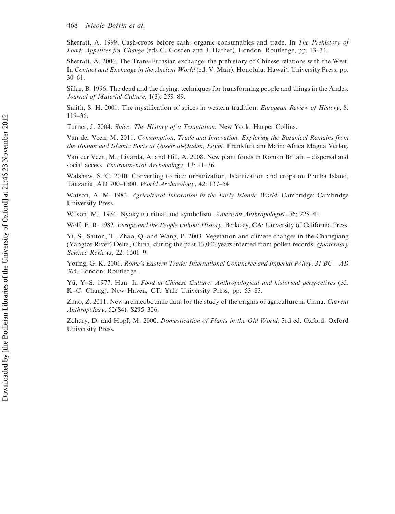Sherratt, A. 1999. Cash-crops before cash: organic consumables and trade. In The Prehistory of Food: Appetites for Change (eds C. Gosden and J. Hather). London: Routledge, pp. 13–34.

Sherratt, A. 2006. The Trans-Eurasian exchange: the prehistory of Chinese relations with the West. In Contact and Exchange in the Ancient World (ed. V. Mair). Honolulu: Hawai'i University Press, pp. 30–61.

Sillar, B. 1996. The dead and the drying: techniques for transforming people and things in the Andes. Journal of Material Culture, 1(3): 259–89.

Smith, S. H. 2001. The mystification of spices in western tradition. European Review of History, 8: 119–36.

Turner, J. 2004. Spice: The History of a Temptation. New York: Harper Collins.

Van der Veen, M. 2011. Consumption, Trade and Innovation. Exploring the Botanical Remains from the Roman and Islamic Ports at Quseir al-Qadim, Egypt. Frankfurt am Main: Africa Magna Verlag.

Van der Veen, M., Livarda, A. and Hill, A. 2008. New plant foods in Roman Britain – dispersal and social access. Environmental Archaeology, 13: 11-36.

Walshaw, S. C. 2010. Converting to rice: urbanization, Islamization and crops on Pemba Island, Tanzania, AD 700–1500. World Archaeology, 42: 137–54.

Watson, A. M. 1983. Agricultural Innovation in the Early Islamic World. Cambridge: Cambridge University Press.

Wilson, M., 1954. Nyakyusa ritual and symbolism. American Anthropologist, 56: 228–41.

Wolf, E. R. 1982. *Europe and the People without History*. Berkeley, CA: University of California Press.

Yi, S., Saiton, T., Zhao, Q. and Wang, P. 2003. Vegetation and climate changes in the Changjiang (Yangtze River) Delta, China, during the past 13,000 years inferred from pollen records. Quaternary Science Reviews, 22: 1501–9.

Young, G. K. 2001. Rome's Eastern Trade: International Commerce and Imperial Policy, 31 BC – AD 305. London: Routledge.

Yü, Y.-S. 1977. Han. In Food in Chinese Culture: Anthropological and historical perspectives (ed. K.-C. Chang). New Haven, CT: Yale University Press, pp. 53–83.

Zhao, Z. 2011. New archaeobotanic data for the study of the origins of agriculture in China. Current Anthropology, 52(S4): S295–306.

Zohary, D. and Hopf, M. 2000. Domestication of Plants in the Old World, 3rd ed. Oxford: Oxford University Press.